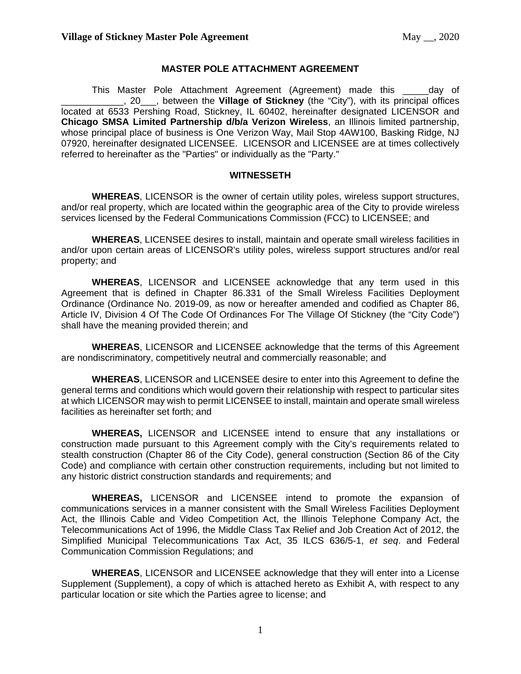### **MASTER POLE ATTACHMENT AGREEMENT**

This Master Pole Attachment Agreement (Agreement) made this \_\_\_\_\_day of \_\_\_\_\_\_\_\_\_\_\_\_, 20\_\_\_, between the **Village of Stickney** (the "City"), with its principal offices located at 6533 Pershing Road, Stickney, IL 60402, hereinafter designated LICENSOR and **Chicago SMSA Limited Partnership d/b/a Verizon Wireless**, an Illinois limited partnership, whose principal place of business is One Verizon Way, Mail Stop 4AW100, Basking Ridge, NJ 07920, hereinafter designated LICENSEE. LICENSOR and LICENSEE are at times collectively referred to hereinafter as the "Parties" or individually as the "Party."

#### **WITNESSETH**

**WHEREAS**, LICENSOR is the owner of certain utility poles, wireless support structures, and/or real property, which are located within the geographic area of the City to provide wireless services licensed by the Federal Communications Commission (FCC) to LICENSEE; and

**WHEREAS**, LICENSEE desires to install, maintain and operate small wireless facilities in and/or upon certain areas of LICENSOR's utility poles, wireless support structures and/or real property; and

**WHEREAS**, LICENSOR and LICENSEE acknowledge that any term used in this Agreement that is defined in Chapter 86.331 of the Small Wireless Facilities Deployment Ordinance (Ordinance No. 2019-09, as now or hereafter amended and codified as Chapter 86, Article IV, Division 4 Of The Code Of Ordinances For The Village Of Stickney (the "City Code") shall have the meaning provided therein; and

**WHEREAS**, LICENSOR and LICENSEE acknowledge that the terms of this Agreement are nondiscriminatory, competitively neutral and commercially reasonable; and

**WHEREAS**, LICENSOR and LICENSEE desire to enter into this Agreement to define the general terms and conditions which would govern their relationship with respect to particular sites at which LICENSOR may wish to permit LICENSEE to install, maintain and operate small wireless facilities as hereinafter set forth; and

**WHEREAS,** LICENSOR and LICENSEE intend to ensure that any installations or construction made pursuant to this Agreement comply with the City's requirements related to stealth construction (Chapter 86 of the City Code), general construction (Section 86 of the City Code) and compliance with certain other construction requirements, including but not limited to any historic district construction standards and requirements; and

**WHEREAS,** LICENSOR and LICENSEE intend to promote the expansion of communications services in a manner consistent with the Small Wireless Facilities Deployment Act, the Illinois Cable and Video Competition Act, the Illinois Telephone Company Act, the Telecommunications Act of 1996, the Middle Class Tax Relief and Job Creation Act of 2012, the Simplified Municipal Telecommunications Tax Act, 35 ILCS 636/5-1, *et seq*. and Federal Communication Commission Regulations; and

**WHEREAS**, LICENSOR and LICENSEE acknowledge that they will enter into a License Supplement (Supplement), a copy of which is attached hereto as Exhibit A, with respect to any particular location or site which the Parties agree to license; and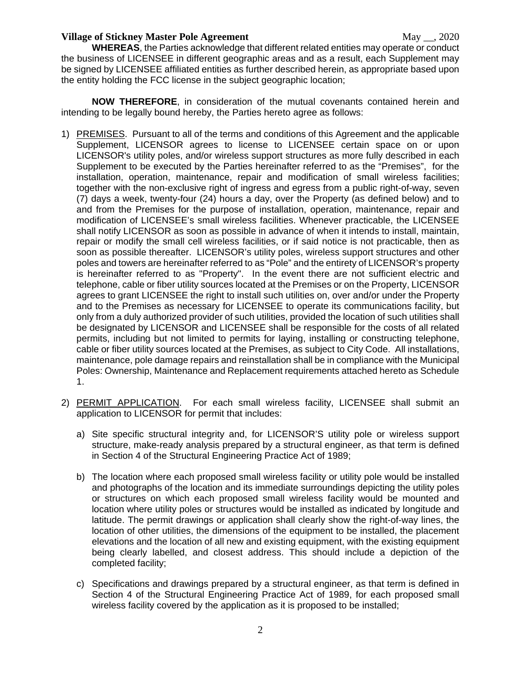**WHEREAS**, the Parties acknowledge that different related entities may operate or conduct the business of LICENSEE in different geographic areas and as a result, each Supplement may be signed by LICENSEE affiliated entities as further described herein, as appropriate based upon the entity holding the FCC license in the subject geographic location;

**NOW THEREFORE**, in consideration of the mutual covenants contained herein and intending to be legally bound hereby, the Parties hereto agree as follows:

- 1) PREMISES. Pursuant to all of the terms and conditions of this Agreement and the applicable Supplement, LICENSOR agrees to license to LICENSEE certain space on or upon LICENSOR's utility poles, and/or wireless support structures as more fully described in each Supplement to be executed by the Parties hereinafter referred to as the "Premises", for the installation, operation, maintenance, repair and modification of small wireless facilities; together with the non-exclusive right of ingress and egress from a public right-of-way, seven (7) days a week, twenty-four (24) hours a day, over the Property (as defined below) and to and from the Premises for the purpose of installation, operation, maintenance, repair and modification of LICENSEE's small wireless facilities. Whenever practicable, the LICENSEE shall notify LICENSOR as soon as possible in advance of when it intends to install, maintain, repair or modify the small cell wireless facilities, or if said notice is not practicable, then as soon as possible thereafter. LICENSOR's utility poles, wireless support structures and other poles and towers are hereinafter referred to as "Pole" and the entirety of LICENSOR's property is hereinafter referred to as "Property". In the event there are not sufficient electric and telephone, cable or fiber utility sources located at the Premises or on the Property, LICENSOR agrees to grant LICENSEE the right to install such utilities on, over and/or under the Property and to the Premises as necessary for LICENSEE to operate its communications facility, but only from a duly authorized provider of such utilities, provided the location of such utilities shall be designated by LICENSOR and LICENSEE shall be responsible for the costs of all related permits, including but not limited to permits for laying, installing or constructing telephone, cable or fiber utility sources located at the Premises, as subject to City Code. All installations, maintenance, pole damage repairs and reinstallation shall be in compliance with the Municipal Poles: Ownership, Maintenance and Replacement requirements attached hereto as Schedule 1.
- 2) PERMIT APPLICATION. For each small wireless facility, LICENSEE shall submit an application to LICENSOR for permit that includes:
	- a) Site specific structural integrity and, for LICENSOR'S utility pole or wireless support structure, make-ready analysis prepared by a structural engineer, as that term is defined in Section 4 of the Structural Engineering Practice Act of 1989;
	- b) The location where each proposed small wireless facility or utility pole would be installed and photographs of the location and its immediate surroundings depicting the utility poles or structures on which each proposed small wireless facility would be mounted and location where utility poles or structures would be installed as indicated by longitude and latitude. The permit drawings or application shall clearly show the right-of-way lines, the location of other utilities, the dimensions of the equipment to be installed, the placement elevations and the location of all new and existing equipment, with the existing equipment being clearly labelled, and closest address. This should include a depiction of the completed facility;
	- c) Specifications and drawings prepared by a structural engineer, as that term is defined in Section 4 of the Structural Engineering Practice Act of 1989, for each proposed small wireless facility covered by the application as it is proposed to be installed;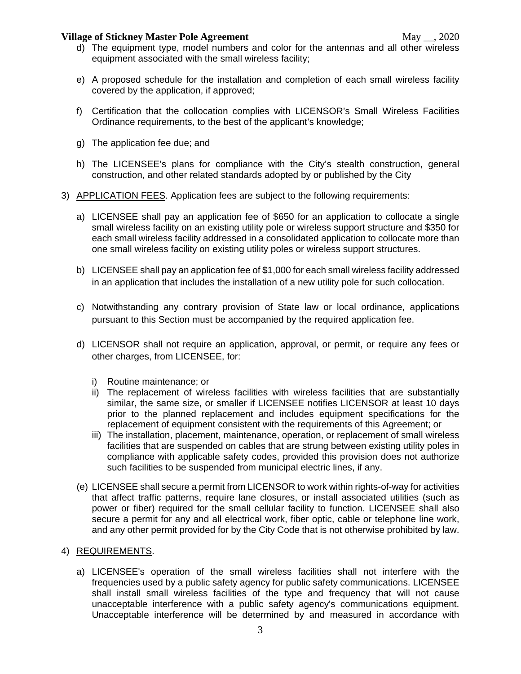- e) A proposed schedule for the installation and completion of each small wireless facility covered by the application, if approved;
- f) Certification that the collocation complies with LICENSOR's Small Wireless Facilities Ordinance requirements, to the best of the applicant's knowledge;
- g) The application fee due; and
- h) The LICENSEE's plans for compliance with the City's stealth construction, general construction, and other related standards adopted by or published by the City
- 3) APPLICATION FEES. Application fees are subject to the following requirements:
	- a) LICENSEE shall pay an application fee of \$650 for an application to collocate a single small wireless facility on an existing utility pole or wireless support structure and \$350 for each small wireless facility addressed in a consolidated application to collocate more than one small wireless facility on existing utility poles or wireless support structures.
	- b) LICENSEE shall pay an application fee of \$1,000 for each small wireless facility addressed in an application that includes the installation of a new utility pole for such collocation.
	- c) Notwithstanding any contrary provision of State law or local ordinance, applications pursuant to this Section must be accompanied by the required application fee.
	- d) LICENSOR shall not require an application, approval, or permit, or require any fees or other charges, from LICENSEE, for:
		- i) Routine maintenance; or
		- ii) The replacement of wireless facilities with wireless facilities that are substantially similar, the same size, or smaller if LICENSEE notifies LICENSOR at least 10 days prior to the planned replacement and includes equipment specifications for the replacement of equipment consistent with the requirements of this Agreement; or
		- iii) The installation, placement, maintenance, operation, or replacement of small wireless facilities that are suspended on cables that are strung between existing utility poles in compliance with applicable safety codes, provided this provision does not authorize such facilities to be suspended from municipal electric lines, if any.
	- (e) LICENSEE shall secure a permit from LICENSOR to work within rights-of-way for activities that affect traffic patterns, require lane closures, or install associated utilities (such as power or fiber) required for the small cellular facility to function. LICENSEE shall also secure a permit for any and all electrical work, fiber optic, cable or telephone line work, and any other permit provided for by the City Code that is not otherwise prohibited by law.

## 4) REQUIREMENTS.

a) LICENSEE's operation of the small wireless facilities shall not interfere with the frequencies used by a public safety agency for public safety communications. LICENSEE shall install small wireless facilities of the type and frequency that will not cause unacceptable interference with a public safety agency's communications equipment. Unacceptable interference will be determined by and measured in accordance with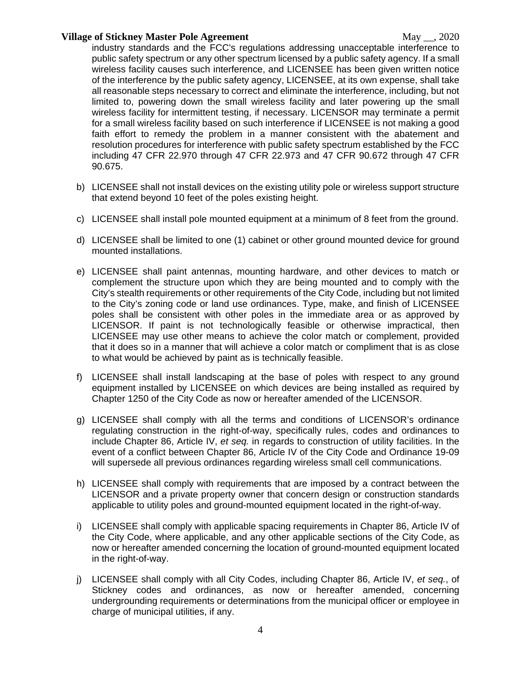industry standards and the FCC's regulations addressing unacceptable interference to public safety spectrum or any other spectrum licensed by a public safety agency. If a small wireless facility causes such interference, and LICENSEE has been given written notice of the interference by the public safety agency, LICENSEE, at its own expense, shall take all reasonable steps necessary to correct and eliminate the interference, including, but not limited to, powering down the small wireless facility and later powering up the small wireless facility for intermittent testing, if necessary. LICENSOR may terminate a permit for a small wireless facility based on such interference if LICENSEE is not making a good faith effort to remedy the problem in a manner consistent with the abatement and resolution procedures for interference with public safety spectrum established by the FCC including 47 CFR 22.970 through 47 CFR 22.973 and 47 CFR 90.672 through 47 CFR 90.675.

- b) LICENSEE shall not install devices on the existing utility pole or wireless support structure that extend beyond 10 feet of the poles existing height.
- c) LICENSEE shall install pole mounted equipment at a minimum of 8 feet from the ground.
- d) LICENSEE shall be limited to one (1) cabinet or other ground mounted device for ground mounted installations.
- e) LICENSEE shall paint antennas, mounting hardware, and other devices to match or complement the structure upon which they are being mounted and to comply with the City's stealth requirements or other requirements of the City Code, including but not limited to the City's zoning code or land use ordinances. Type, make, and finish of LICENSEE poles shall be consistent with other poles in the immediate area or as approved by LICENSOR. If paint is not technologically feasible or otherwise impractical, then LICENSEE may use other means to achieve the color match or complement, provided that it does so in a manner that will achieve a color match or compliment that is as close to what would be achieved by paint as is technically feasible.
- f) LICENSEE shall install landscaping at the base of poles with respect to any ground equipment installed by LICENSEE on which devices are being installed as required by Chapter 1250 of the City Code as now or hereafter amended of the LICENSOR.
- g) LICENSEE shall comply with all the terms and conditions of LICENSOR's ordinance regulating construction in the right-of-way, specifically rules, codes and ordinances to include Chapter 86, Article IV, *et seq.* in regards to construction of utility facilities. In the event of a conflict between Chapter 86, Article IV of the City Code and Ordinance 19-09 will supersede all previous ordinances regarding wireless small cell communications.
- h) LICENSEE shall comply with requirements that are imposed by a contract between the LICENSOR and a private property owner that concern design or construction standards applicable to utility poles and ground-mounted equipment located in the right-of-way.
- i) LICENSEE shall comply with applicable spacing requirements in Chapter 86, Article IV of the City Code, where applicable, and any other applicable sections of the City Code, as now or hereafter amended concerning the location of ground-mounted equipment located in the right-of-way.
- j) LICENSEE shall comply with all City Codes, including Chapter 86, Article IV, *et seq.*, of Stickney codes and ordinances, as now or hereafter amended, concerning undergrounding requirements or determinations from the municipal officer or employee in charge of municipal utilities, if any.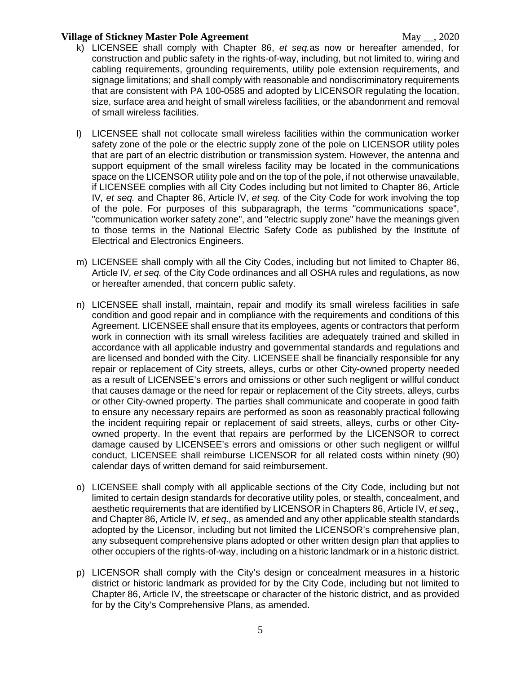- k) LICENSEE shall comply with Chapter 86, *et seq.*as now or hereafter amended, for construction and public safety in the rights-of-way, including, but not limited to, wiring and cabling requirements, grounding requirements, utility pole extension requirements, and signage limitations; and shall comply with reasonable and nondiscriminatory requirements that are consistent with PA 100-0585 and adopted by LICENSOR regulating the location, size, surface area and height of small wireless facilities, or the abandonment and removal of small wireless facilities.
- l) LICENSEE shall not collocate small wireless facilities within the communication worker safety zone of the pole or the electric supply zone of the pole on LICENSOR utility poles that are part of an electric distribution or transmission system. However, the antenna and support equipment of the small wireless facility may be located in the communications space on the LICENSOR utility pole and on the top of the pole, if not otherwise unavailable, if LICENSEE complies with all City Codes including but not limited to Chapter 86, Article IV*, et seq.* and Chapter 86, Article IV, *et seq.* of the City Code for work involving the top of the pole. For purposes of this subparagraph, the terms "communications space", "communication worker safety zone", and "electric supply zone" have the meanings given to those terms in the National Electric Safety Code as published by the Institute of Electrical and Electronics Engineers.
- m) LICENSEE shall comply with all the City Codes, including but not limited to Chapter 86, Article IV*, et seq.* of the City Code ordinances and all OSHA rules and regulations, as now or hereafter amended, that concern public safety.
- n) LICENSEE shall install, maintain, repair and modify its small wireless facilities in safe condition and good repair and in compliance with the requirements and conditions of this Agreement. LICENSEE shall ensure that its employees, agents or contractors that perform work in connection with its small wireless facilities are adequately trained and skilled in accordance with all applicable industry and governmental standards and regulations and are licensed and bonded with the City. LICENSEE shall be financially responsible for any repair or replacement of City streets, alleys, curbs or other City-owned property needed as a result of LICENSEE's errors and omissions or other such negligent or willful conduct that causes damage or the need for repair or replacement of the City streets, alleys, curbs or other City-owned property. The parties shall communicate and cooperate in good faith to ensure any necessary repairs are performed as soon as reasonably practical following the incident requiring repair or replacement of said streets, alleys, curbs or other Cityowned property. In the event that repairs are performed by the LICENSOR to correct damage caused by LICENSEE's errors and omissions or other such negligent or willful conduct, LICENSEE shall reimburse LICENSOR for all related costs within ninety (90) calendar days of written demand for said reimbursement.
- o) LICENSEE shall comply with all applicable sections of the City Code, including but not limited to certain design standards for decorative utility poles, or stealth, concealment, and aesthetic requirements that are identified by LICENSOR in Chapters 86, Article IV, *et seq.,*  and Chapter 86, Article IV*, et seq*.*,* as amended and any other applicable stealth standards adopted by the Licensor, including but not limited the LICENSOR's comprehensive plan, any subsequent comprehensive plans adopted or other written design plan that applies to other occupiers of the rights-of-way, including on a historic landmark or in a historic district.
- p) LICENSOR shall comply with the City's design or concealment measures in a historic district or historic landmark as provided for by the City Code, including but not limited to Chapter 86, Article IV, the streetscape or character of the historic district, and as provided for by the City's Comprehensive Plans, as amended.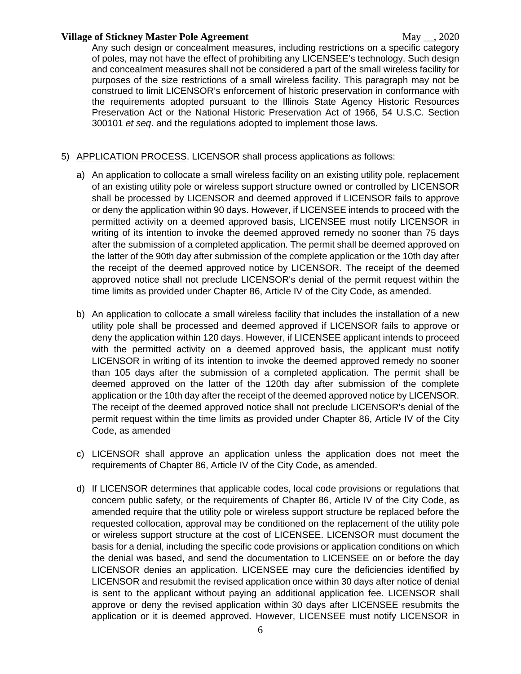Any such design or concealment measures, including restrictions on a specific category of poles, may not have the effect of prohibiting any LICENSEE's technology. Such design and concealment measures shall not be considered a part of the small wireless facility for purposes of the size restrictions of a small wireless facility. This paragraph may not be construed to limit LICENSOR's enforcement of historic preservation in conformance with the requirements adopted pursuant to the Illinois State Agency Historic Resources Preservation Act or the National Historic Preservation Act of 1966, 54 U.S.C. Section 300101 *et seq*. and the regulations adopted to implement those laws.

## 5) APPLICATION PROCESS. LICENSOR shall process applications as follows:

- a) An application to collocate a small wireless facility on an existing utility pole, replacement of an existing utility pole or wireless support structure owned or controlled by LICENSOR shall be processed by LICENSOR and deemed approved if LICENSOR fails to approve or deny the application within 90 days. However, if LICENSEE intends to proceed with the permitted activity on a deemed approved basis, LICENSEE must notify LICENSOR in writing of its intention to invoke the deemed approved remedy no sooner than 75 days after the submission of a completed application. The permit shall be deemed approved on the latter of the 90th day after submission of the complete application or the 10th day after the receipt of the deemed approved notice by LICENSOR. The receipt of the deemed approved notice shall not preclude LICENSOR's denial of the permit request within the time limits as provided under Chapter 86, Article IV of the City Code, as amended.
- b) An application to collocate a small wireless facility that includes the installation of a new utility pole shall be processed and deemed approved if LICENSOR fails to approve or deny the application within 120 days. However, if LICENSEE applicant intends to proceed with the permitted activity on a deemed approved basis, the applicant must notify LICENSOR in writing of its intention to invoke the deemed approved remedy no sooner than 105 days after the submission of a completed application. The permit shall be deemed approved on the latter of the 120th day after submission of the complete application or the 10th day after the receipt of the deemed approved notice by LICENSOR. The receipt of the deemed approved notice shall not preclude LICENSOR's denial of the permit request within the time limits as provided under Chapter 86, Article IV of the City Code, as amended
- c) LICENSOR shall approve an application unless the application does not meet the requirements of Chapter 86, Article IV of the City Code, as amended.
- d) If LICENSOR determines that applicable codes, local code provisions or regulations that concern public safety, or the requirements of Chapter 86, Article IV of the City Code, as amended require that the utility pole or wireless support structure be replaced before the requested collocation, approval may be conditioned on the replacement of the utility pole or wireless support structure at the cost of LICENSEE. LICENSOR must document the basis for a denial, including the specific code provisions or application conditions on which the denial was based, and send the documentation to LICENSEE on or before the day LICENSOR denies an application. LICENSEE may cure the deficiencies identified by LICENSOR and resubmit the revised application once within 30 days after notice of denial is sent to the applicant without paying an additional application fee. LICENSOR shall approve or deny the revised application within 30 days after LICENSEE resubmits the application or it is deemed approved. However, LICENSEE must notify LICENSOR in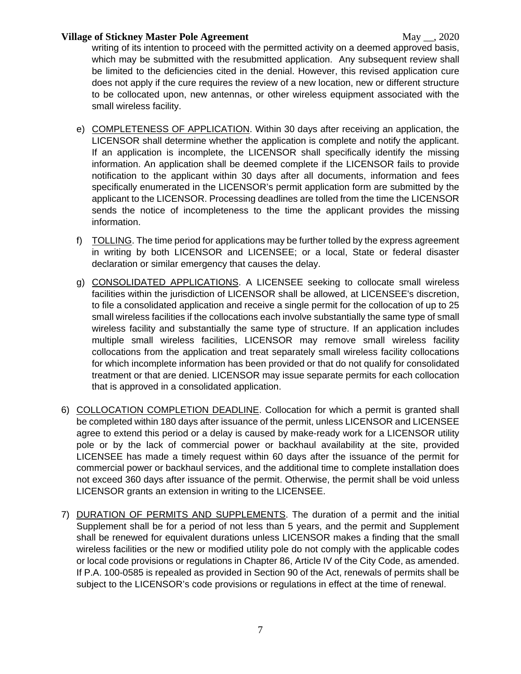writing of its intention to proceed with the permitted activity on a deemed approved basis, which may be submitted with the resubmitted application. Any subsequent review shall be limited to the deficiencies cited in the denial. However, this revised application cure does not apply if the cure requires the review of a new location, new or different structure to be collocated upon, new antennas, or other wireless equipment associated with the small wireless facility.

- e) COMPLETENESS OF APPLICATION. Within 30 days after receiving an application, the LICENSOR shall determine whether the application is complete and notify the applicant. If an application is incomplete, the LICENSOR shall specifically identify the missing information. An application shall be deemed complete if the LICENSOR fails to provide notification to the applicant within 30 days after all documents, information and fees specifically enumerated in the LICENSOR's permit application form are submitted by the applicant to the LICENSOR. Processing deadlines are tolled from the time the LICENSOR sends the notice of incompleteness to the time the applicant provides the missing information.
- f) TOLLING. The time period for applications may be further tolled by the express agreement in writing by both LICENSOR and LICENSEE; or a local, State or federal disaster declaration or similar emergency that causes the delay.
- g) CONSOLIDATED APPLICATIONS. A LICENSEE seeking to collocate small wireless facilities within the jurisdiction of LICENSOR shall be allowed, at LICENSEE's discretion, to file a consolidated application and receive a single permit for the collocation of up to 25 small wireless facilities if the collocations each involve substantially the same type of small wireless facility and substantially the same type of structure. If an application includes multiple small wireless facilities, LICENSOR may remove small wireless facility collocations from the application and treat separately small wireless facility collocations for which incomplete information has been provided or that do not qualify for consolidated treatment or that are denied. LICENSOR may issue separate permits for each collocation that is approved in a consolidated application.
- 6) COLLOCATION COMPLETION DEADLINE. Collocation for which a permit is granted shall be completed within 180 days after issuance of the permit, unless LICENSOR and LICENSEE agree to extend this period or a delay is caused by make-ready work for a LICENSOR utility pole or by the lack of commercial power or backhaul availability at the site, provided LICENSEE has made a timely request within 60 days after the issuance of the permit for commercial power or backhaul services, and the additional time to complete installation does not exceed 360 days after issuance of the permit. Otherwise, the permit shall be void unless LICENSOR grants an extension in writing to the LICENSEE.
- 7) DURATION OF PERMITS AND SUPPLEMENTS. The duration of a permit and the initial Supplement shall be for a period of not less than 5 years, and the permit and Supplement shall be renewed for equivalent durations unless LICENSOR makes a finding that the small wireless facilities or the new or modified utility pole do not comply with the applicable codes or local code provisions or regulations in Chapter 86, Article IV of the City Code, as amended. If P.A. 100-0585 is repealed as provided in Section 90 of the Act, renewals of permits shall be subject to the LICENSOR's code provisions or regulations in effect at the time of renewal.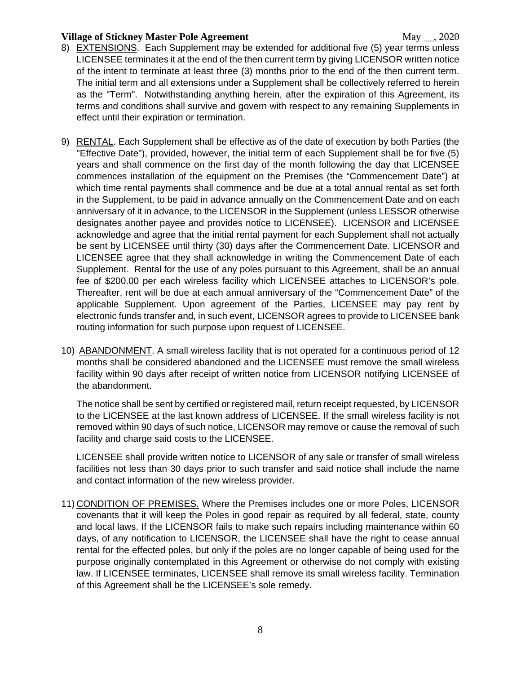- 8) EXTENSIONS. Each Supplement may be extended for additional five (5) year terms unless LICENSEE terminates it at the end of the then current term by giving LICENSOR written notice of the intent to terminate at least three (3) months prior to the end of the then current term. The initial term and all extensions under a Supplement shall be collectively referred to herein as the "Term". Notwithstanding anything herein, after the expiration of this Agreement, its terms and conditions shall survive and govern with respect to any remaining Supplements in effect until their expiration or termination.
- 9) RENTAL. Each Supplement shall be effective as of the date of execution by both Parties (the "Effective Date"), provided, however, the initial term of each Supplement shall be for five (5) years and shall commence on the first day of the month following the day that LICENSEE commences installation of the equipment on the Premises (the "Commencement Date") at which time rental payments shall commence and be due at a total annual rental as set forth in the Supplement, to be paid in advance annually on the Commencement Date and on each anniversary of it in advance, to the LICENSOR in the Supplement (unless LESSOR otherwise designates another payee and provides notice to LICENSEE). LICENSOR and LICENSEE acknowledge and agree that the initial rental payment for each Supplement shall not actually be sent by LICENSEE until thirty (30) days after the Commencement Date. LICENSOR and LICENSEE agree that they shall acknowledge in writing the Commencement Date of each Supplement. Rental for the use of any poles pursuant to this Agreement, shall be an annual fee of \$200.00 per each wireless facility which LICENSEE attaches to LICENSOR's pole. Thereafter, rent will be due at each annual anniversary of the "Commencement Date" of the applicable Supplement. Upon agreement of the Parties, LICENSEE may pay rent by electronic funds transfer and, in such event, LICENSOR agrees to provide to LICENSEE bank routing information for such purpose upon request of LICENSEE.
- 10) ABANDONMENT. A small wireless facility that is not operated for a continuous period of 12 months shall be considered abandoned and the LICENSEE must remove the small wireless facility within 90 days after receipt of written notice from LICENSOR notifying LICENSEE of the abandonment.

The notice shall be sent by certified or registered mail, return receipt requested, by LICENSOR to the LICENSEE at the last known address of LICENSEE. If the small wireless facility is not removed within 90 days of such notice, LICENSOR may remove or cause the removal of such facility and charge said costs to the LICENSEE.

LICENSEE shall provide written notice to LICENSOR of any sale or transfer of small wireless facilities not less than 30 days prior to such transfer and said notice shall include the name and contact information of the new wireless provider.

11) CONDITION OF PREMISES. Where the Premises includes one or more Poles, LICENSOR covenants that it will keep the Poles in good repair as required by all federal, state, county and local laws. If the LICENSOR fails to make such repairs including maintenance within 60 days, of any notification to LICENSOR, the LICENSEE shall have the right to cease annual rental for the effected poles, but only if the poles are no longer capable of being used for the purpose originally contemplated in this Agreement or otherwise do not comply with existing law. If LICENSEE terminates, LICENSEE shall remove its small wireless facility. Termination of this Agreement shall be the LICENSEE's sole remedy.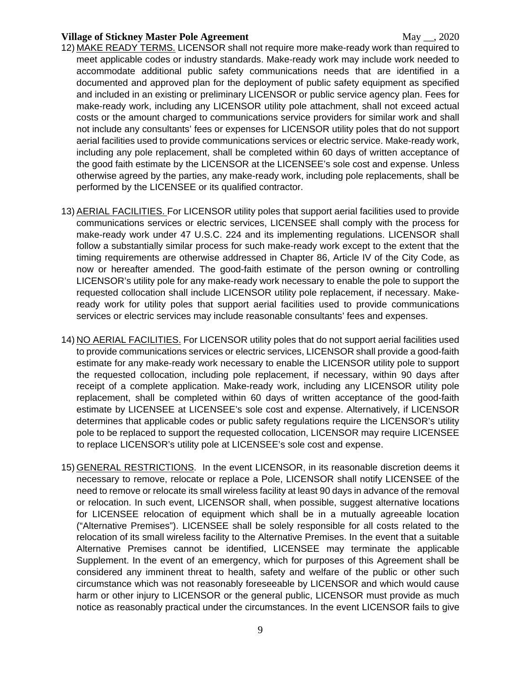- 12) MAKE READY TERMS. LICENSOR shall not require more make-ready work than required to meet applicable codes or industry standards. Make-ready work may include work needed to accommodate additional public safety communications needs that are identified in a documented and approved plan for the deployment of public safety equipment as specified and included in an existing or preliminary LICENSOR or public service agency plan. Fees for make-ready work, including any LICENSOR utility pole attachment, shall not exceed actual costs or the amount charged to communications service providers for similar work and shall not include any consultants' fees or expenses for LICENSOR utility poles that do not support aerial facilities used to provide communications services or electric service. Make-ready work, including any pole replacement, shall be completed within 60 days of written acceptance of the good faith estimate by the LICENSOR at the LICENSEE's sole cost and expense. Unless otherwise agreed by the parties, any make-ready work, including pole replacements, shall be performed by the LICENSEE or its qualified contractor.
- 13) AERIAL FACILITIES. For LICENSOR utility poles that support aerial facilities used to provide communications services or electric services, LICENSEE shall comply with the process for make-ready work under 47 U.S.C. 224 and its implementing regulations. LICENSOR shall follow a substantially similar process for such make-ready work except to the extent that the timing requirements are otherwise addressed in Chapter 86, Article IV of the City Code, as now or hereafter amended. The good-faith estimate of the person owning or controlling LICENSOR's utility pole for any make-ready work necessary to enable the pole to support the requested collocation shall include LICENSOR utility pole replacement, if necessary. Makeready work for utility poles that support aerial facilities used to provide communications services or electric services may include reasonable consultants' fees and expenses.
- 14) NO AERIAL FACILITIES. For LICENSOR utility poles that do not support aerial facilities used to provide communications services or electric services, LICENSOR shall provide a good-faith estimate for any make-ready work necessary to enable the LICENSOR utility pole to support the requested collocation, including pole replacement, if necessary, within 90 days after receipt of a complete application. Make-ready work, including any LICENSOR utility pole replacement, shall be completed within 60 days of written acceptance of the good-faith estimate by LICENSEE at LICENSEE's sole cost and expense. Alternatively, if LICENSOR determines that applicable codes or public safety regulations require the LICENSOR's utility pole to be replaced to support the requested collocation, LICENSOR may require LICENSEE to replace LICENSOR's utility pole at LICENSEE's sole cost and expense.
- 15) GENERAL RESTRICTIONS. In the event LICENSOR, in its reasonable discretion deems it necessary to remove, relocate or replace a Pole, LICENSOR shall notify LICENSEE of the need to remove or relocate its small wireless facility at least 90 days in advance of the removal or relocation. In such event, LICENSOR shall, when possible, suggest alternative locations for LICENSEE relocation of equipment which shall be in a mutually agreeable location ("Alternative Premises"). LICENSEE shall be solely responsible for all costs related to the relocation of its small wireless facility to the Alternative Premises. In the event that a suitable Alternative Premises cannot be identified, LICENSEE may terminate the applicable Supplement. In the event of an emergency, which for purposes of this Agreement shall be considered any imminent threat to health, safety and welfare of the public or other such circumstance which was not reasonably foreseeable by LICENSOR and which would cause harm or other injury to LICENSOR or the general public, LICENSOR must provide as much notice as reasonably practical under the circumstances. In the event LICENSOR fails to give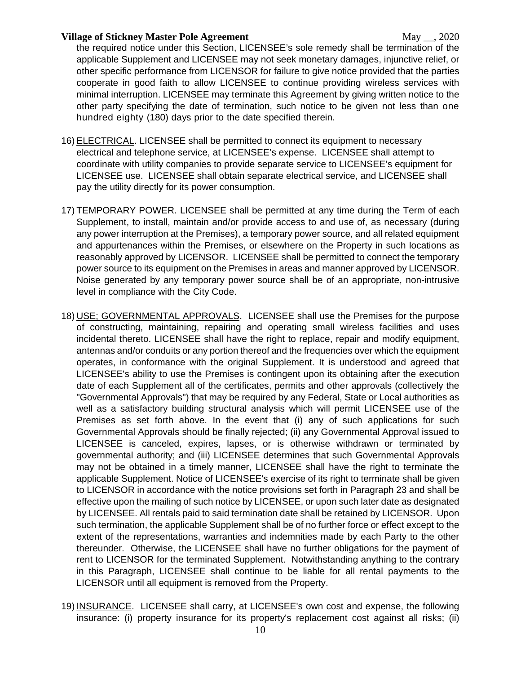the required notice under this Section, LICENSEE's sole remedy shall be termination of the applicable Supplement and LICENSEE may not seek monetary damages, injunctive relief, or other specific performance from LICENSOR for failure to give notice provided that the parties cooperate in good faith to allow LICENSEE to continue providing wireless services with minimal interruption. LICENSEE may terminate this Agreement by giving written notice to the other party specifying the date of termination, such notice to be given not less than one hundred eighty (180) days prior to the date specified therein.

- 16) ELECTRICAL. LICENSEE shall be permitted to connect its equipment to necessary electrical and telephone service, at LICENSEE's expense. LICENSEE shall attempt to coordinate with utility companies to provide separate service to LICENSEE's equipment for LICENSEE use. LICENSEE shall obtain separate electrical service, and LICENSEE shall pay the utility directly for its power consumption.
- 17) TEMPORARY POWER. LICENSEE shall be permitted at any time during the Term of each Supplement, to install, maintain and/or provide access to and use of, as necessary (during any power interruption at the Premises), a temporary power source, and all related equipment and appurtenances within the Premises, or elsewhere on the Property in such locations as reasonably approved by LICENSOR. LICENSEE shall be permitted to connect the temporary power source to its equipment on the Premises in areas and manner approved by LICENSOR. Noise generated by any temporary power source shall be of an appropriate, non-intrusive level in compliance with the City Code.
- 18) USE; GOVERNMENTAL APPROVALS. LICENSEE shall use the Premises for the purpose of constructing, maintaining, repairing and operating small wireless facilities and uses incidental thereto. LICENSEE shall have the right to replace, repair and modify equipment, antennas and/or conduits or any portion thereof and the frequencies over which the equipment operates, in conformance with the original Supplement. It is understood and agreed that LICENSEE's ability to use the Premises is contingent upon its obtaining after the execution date of each Supplement all of the certificates, permits and other approvals (collectively the "Governmental Approvals") that may be required by any Federal, State or Local authorities as well as a satisfactory building structural analysis which will permit LICENSEE use of the Premises as set forth above. In the event that (i) any of such applications for such Governmental Approvals should be finally rejected; (ii) any Governmental Approval issued to LICENSEE is canceled, expires, lapses, or is otherwise withdrawn or terminated by governmental authority; and (iii) LICENSEE determines that such Governmental Approvals may not be obtained in a timely manner, LICENSEE shall have the right to terminate the applicable Supplement. Notice of LICENSEE's exercise of its right to terminate shall be given to LICENSOR in accordance with the notice provisions set forth in Paragraph 23 and shall be effective upon the mailing of such notice by LICENSEE, or upon such later date as designated by LICENSEE. All rentals paid to said termination date shall be retained by LICENSOR. Upon such termination, the applicable Supplement shall be of no further force or effect except to the extent of the representations, warranties and indemnities made by each Party to the other thereunder. Otherwise, the LICENSEE shall have no further obligations for the payment of rent to LICENSOR for the terminated Supplement. Notwithstanding anything to the contrary in this Paragraph, LICENSEE shall continue to be liable for all rental payments to the LICENSOR until all equipment is removed from the Property.
- 19) INSURANCE. LICENSEE shall carry, at LICENSEE's own cost and expense, the following insurance: (i) property insurance for its property's replacement cost against all risks; (ii)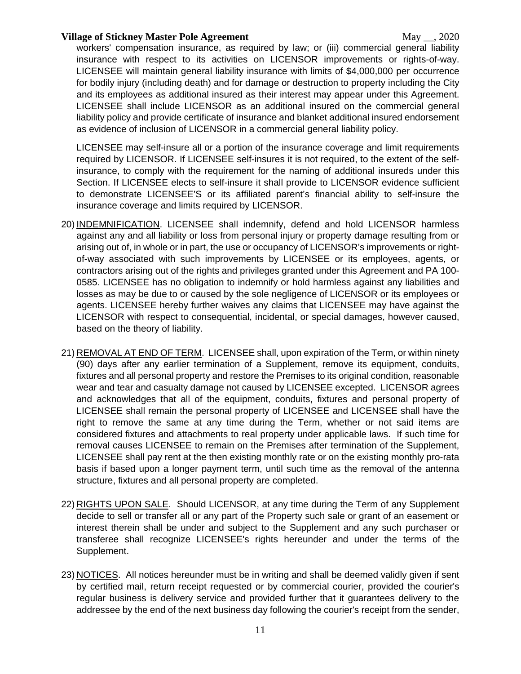workers' compensation insurance, as required by law; or (iii) commercial general liability insurance with respect to its activities on LICENSOR improvements or rights-of-way. LICENSEE will maintain general liability insurance with limits of \$4,000,000 per occurrence for bodily injury (including death) and for damage or destruction to property including the City and its employees as additional insured as their interest may appear under this Agreement. LICENSEE shall include LICENSOR as an additional insured on the commercial general liability policy and provide certificate of insurance and blanket additional insured endorsement as evidence of inclusion of LICENSOR in a commercial general liability policy.

LICENSEE may self-insure all or a portion of the insurance coverage and limit requirements required by LICENSOR. If LICENSEE self-insures it is not required, to the extent of the selfinsurance, to comply with the requirement for the naming of additional insureds under this Section. If LICENSEE elects to self-insure it shall provide to LICENSOR evidence sufficient to demonstrate LICENSEE'S or its affiliated parent's financial ability to self-insure the insurance coverage and limits required by LICENSOR.

- 20) INDEMNIFICATION. LICENSEE shall indemnify, defend and hold LICENSOR harmless against any and all liability or loss from personal injury or property damage resulting from or arising out of, in whole or in part, the use or occupancy of LICENSOR's improvements or rightof-way associated with such improvements by LICENSEE or its employees, agents, or contractors arising out of the rights and privileges granted under this Agreement and PA 100- 0585. LICENSEE has no obligation to indemnify or hold harmless against any liabilities and losses as may be due to or caused by the sole negligence of LICENSOR or its employees or agents. LICENSEE hereby further waives any claims that LICENSEE may have against the LICENSOR with respect to consequential, incidental, or special damages, however caused, based on the theory of liability.
- 21) REMOVAL AT END OF TERM. LICENSEE shall, upon expiration of the Term, or within ninety (90) days after any earlier termination of a Supplement, remove its equipment, conduits, fixtures and all personal property and restore the Premises to its original condition, reasonable wear and tear and casualty damage not caused by LICENSEE excepted. LICENSOR agrees and acknowledges that all of the equipment, conduits, fixtures and personal property of LICENSEE shall remain the personal property of LICENSEE and LICENSEE shall have the right to remove the same at any time during the Term, whether or not said items are considered fixtures and attachments to real property under applicable laws. If such time for removal causes LICENSEE to remain on the Premises after termination of the Supplement, LICENSEE shall pay rent at the then existing monthly rate or on the existing monthly pro-rata basis if based upon a longer payment term, until such time as the removal of the antenna structure, fixtures and all personal property are completed.
- 22) RIGHTS UPON SALE. Should LICENSOR, at any time during the Term of any Supplement decide to sell or transfer all or any part of the Property such sale or grant of an easement or interest therein shall be under and subject to the Supplement and any such purchaser or transferee shall recognize LICENSEE's rights hereunder and under the terms of the Supplement.
- 23) NOTICES. All notices hereunder must be in writing and shall be deemed validly given if sent by certified mail, return receipt requested or by commercial courier, provided the courier's regular business is delivery service and provided further that it guarantees delivery to the addressee by the end of the next business day following the courier's receipt from the sender,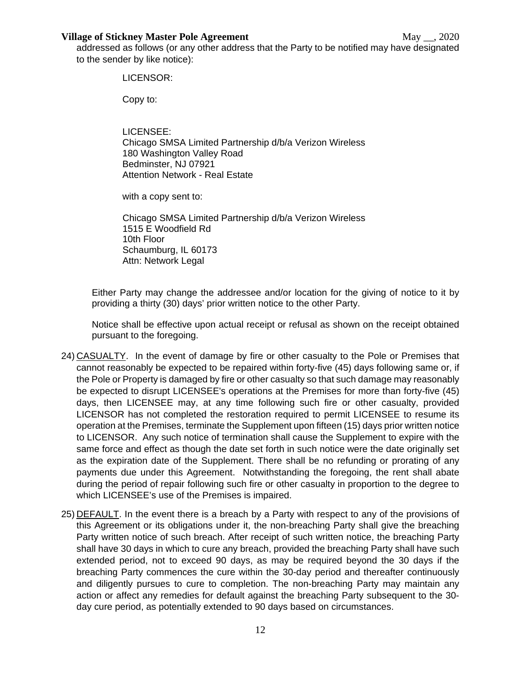addressed as follows (or any other address that the Party to be notified may have designated to the sender by like notice):

#### LICENSOR:

Copy to:

LICENSEE: Chicago SMSA Limited Partnership d/b/a Verizon Wireless 180 Washington Valley Road Bedminster, NJ 07921 Attention Network - Real Estate

with a copy sent to:

Chicago SMSA Limited Partnership d/b/a Verizon Wireless 1515 E Woodfield Rd 10th Floor Schaumburg, IL 60173 Attn: Network Legal

Either Party may change the addressee and/or location for the giving of notice to it by providing a thirty (30) days' prior written notice to the other Party.

Notice shall be effective upon actual receipt or refusal as shown on the receipt obtained pursuant to the foregoing.

- 24) CASUALTY. In the event of damage by fire or other casualty to the Pole or Premises that cannot reasonably be expected to be repaired within forty-five (45) days following same or, if the Pole or Property is damaged by fire or other casualty so that such damage may reasonably be expected to disrupt LICENSEE's operations at the Premises for more than forty-five (45) days, then LICENSEE may, at any time following such fire or other casualty, provided LICENSOR has not completed the restoration required to permit LICENSEE to resume its operation at the Premises, terminate the Supplement upon fifteen (15) days prior written notice to LICENSOR. Any such notice of termination shall cause the Supplement to expire with the same force and effect as though the date set forth in such notice were the date originally set as the expiration date of the Supplement. There shall be no refunding or prorating of any payments due under this Agreement. Notwithstanding the foregoing, the rent shall abate during the period of repair following such fire or other casualty in proportion to the degree to which LICENSEE's use of the Premises is impaired.
- 25) DEFAULT. In the event there is a breach by a Party with respect to any of the provisions of this Agreement or its obligations under it, the non-breaching Party shall give the breaching Party written notice of such breach. After receipt of such written notice, the breaching Party shall have 30 days in which to cure any breach, provided the breaching Party shall have such extended period, not to exceed 90 days, as may be required beyond the 30 days if the breaching Party commences the cure within the 30-day period and thereafter continuously and diligently pursues to cure to completion. The non-breaching Party may maintain any action or affect any remedies for default against the breaching Party subsequent to the 30 day cure period, as potentially extended to 90 days based on circumstances.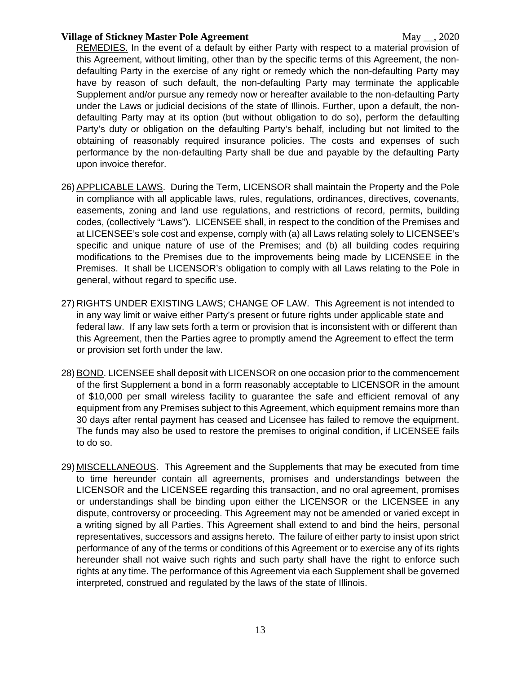REMEDIES. In the event of a default by either Party with respect to a material provision of this Agreement, without limiting, other than by the specific terms of this Agreement, the nondefaulting Party in the exercise of any right or remedy which the non-defaulting Party may have by reason of such default, the non-defaulting Party may terminate the applicable Supplement and/or pursue any remedy now or hereafter available to the non-defaulting Party under the Laws or judicial decisions of the state of Illinois. Further, upon a default, the nondefaulting Party may at its option (but without obligation to do so), perform the defaulting Party's duty or obligation on the defaulting Party's behalf, including but not limited to the obtaining of reasonably required insurance policies. The costs and expenses of such performance by the non-defaulting Party shall be due and payable by the defaulting Party upon invoice therefor.

- 26) APPLICABLE LAWS. During the Term, LICENSOR shall maintain the Property and the Pole in compliance with all applicable laws, rules, regulations, ordinances, directives, covenants, easements, zoning and land use regulations, and restrictions of record, permits, building codes, (collectively "Laws"). LICENSEE shall, in respect to the condition of the Premises and at LICENSEE's sole cost and expense, comply with (a) all Laws relating solely to LICENSEE's specific and unique nature of use of the Premises; and (b) all building codes requiring modifications to the Premises due to the improvements being made by LICENSEE in the Premises. It shall be LICENSOR's obligation to comply with all Laws relating to the Pole in general, without regard to specific use.
- 27) RIGHTS UNDER EXISTING LAWS; CHANGE OF LAW. This Agreement is not intended to in any way limit or waive either Party's present or future rights under applicable state and federal law. If any law sets forth a term or provision that is inconsistent with or different than this Agreement, then the Parties agree to promptly amend the Agreement to effect the term or provision set forth under the law.
- 28) BOND. LICENSEE shall deposit with LICENSOR on one occasion prior to the commencement of the first Supplement a bond in a form reasonably acceptable to LICENSOR in the amount of \$10,000 per small wireless facility to guarantee the safe and efficient removal of any equipment from any Premises subject to this Agreement, which equipment remains more than 30 days after rental payment has ceased and Licensee has failed to remove the equipment. The funds may also be used to restore the premises to original condition, if LICENSEE fails to do so.
- 29) MISCELLANEOUS. This Agreement and the Supplements that may be executed from time to time hereunder contain all agreements, promises and understandings between the LICENSOR and the LICENSEE regarding this transaction, and no oral agreement, promises or understandings shall be binding upon either the LICENSOR or the LICENSEE in any dispute, controversy or proceeding. This Agreement may not be amended or varied except in a writing signed by all Parties. This Agreement shall extend to and bind the heirs, personal representatives, successors and assigns hereto. The failure of either party to insist upon strict performance of any of the terms or conditions of this Agreement or to exercise any of its rights hereunder shall not waive such rights and such party shall have the right to enforce such rights at any time. The performance of this Agreement via each Supplement shall be governed interpreted, construed and regulated by the laws of the state of Illinois.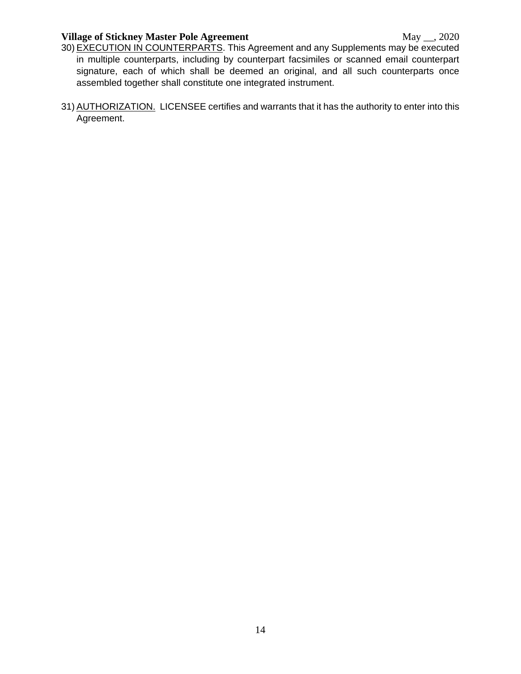- 30) EXECUTION IN COUNTERPARTS. This Agreement and any Supplements may be executed in multiple counterparts, including by counterpart facsimiles or scanned email counterpart signature, each of which shall be deemed an original, and all such counterparts once assembled together shall constitute one integrated instrument.
- 31) AUTHORIZATION. LICENSEE certifies and warrants that it has the authority to enter into this Agreement.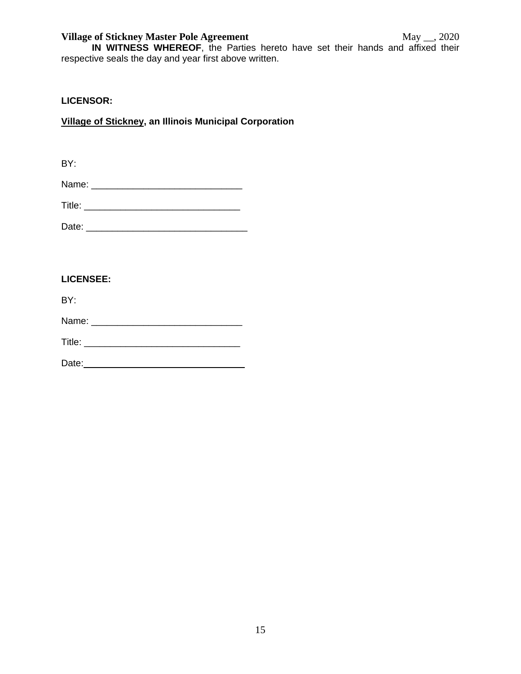**IN WITNESS WHEREOF**, the Parties hereto have set their hands and affixed their respective seals the day and year first above written.

## **LICENSOR:**

# **Village of Stickney, an Illinois Municipal Corporation**

BY:

| Title: |
|--------|
|--------|

Date: \_\_\_\_\_\_\_\_\_\_\_\_\_\_\_\_\_\_\_\_\_\_\_\_\_\_\_\_\_\_\_

### **LICENSEE:**

BY: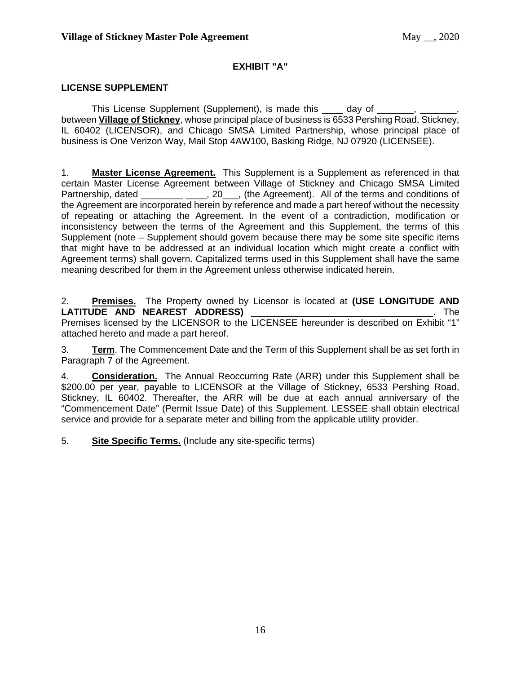## **EXHIBIT "A"**

### **LICENSE SUPPLEMENT**

This License Supplement (Supplement), is made this \_\_\_\_ day of between **Village of Stickney**, whose principal place of business is 6533 Pershing Road, Stickney, IL 60402 (LICENSOR), and Chicago SMSA Limited Partnership, whose principal place of business is One Verizon Way, Mail Stop 4AW100, Basking Ridge, NJ 07920 (LICENSEE).

1. **Master License Agreement.** This Supplement is a Supplement as referenced in that certain Master License Agreement between Village of Stickney and Chicago SMSA Limited Partnership, dated \_\_\_\_\_\_\_\_ \_\_\_, 20\_\_, (the Agreement). All of the terms and conditions of the Agreement are incorporated herein by reference and made a part hereof without the necessity of repeating or attaching the Agreement. In the event of a contradiction, modification or inconsistency between the terms of the Agreement and this Supplement, the terms of this Supplement (note – Supplement should govern because there may be some site specific items that might have to be addressed at an individual location which might create a conflict with Agreement terms) shall govern. Capitalized terms used in this Supplement shall have the same meaning described for them in the Agreement unless otherwise indicated herein.

2. **Premises.** The Property owned by Licensor is located at **(USE LONGITUDE AND LATITUDE AND NEAREST ADDRESS)** \_\_\_\_\_\_\_\_\_\_\_\_\_\_\_\_\_\_\_\_\_\_\_\_\_\_\_\_\_\_\_\_\_\_\_. The Premises licensed by the LICENSOR to the LICENSEE hereunder is described on Exhibit "1" attached hereto and made a part hereof.

3. **Term**. The Commencement Date and the Term of this Supplement shall be as set forth in Paragraph 7 of the Agreement.

4. **Consideration.** The Annual Reoccurring Rate (ARR) under this Supplement shall be \$200.00 per year, payable to LICENSOR at the Village of Stickney, 6533 Pershing Road, Stickney, IL 60402. Thereafter, the ARR will be due at each annual anniversary of the "Commencement Date" (Permit Issue Date) of this Supplement. LESSEE shall obtain electrical service and provide for a separate meter and billing from the applicable utility provider.

5. **Site Specific Terms.** (Include any site-specific terms)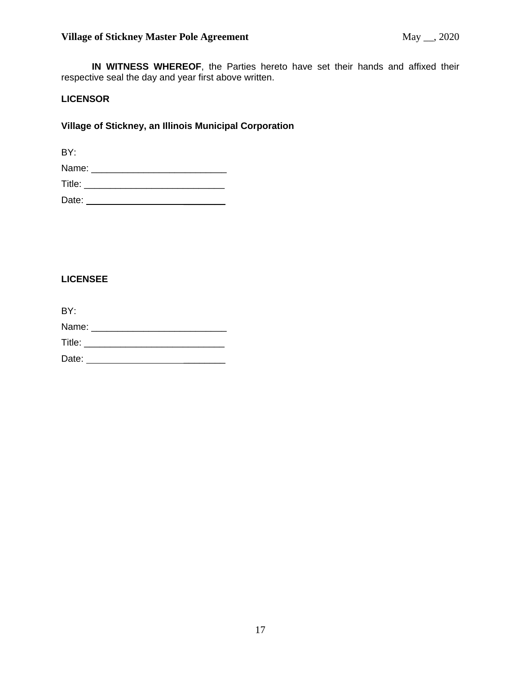**IN WITNESS WHEREOF**, the Parties hereto have set their hands and affixed their respective seal the day and year first above written.

## **LICENSOR**

## **Village of Stickney, an Illinois Municipal Corporation**

BY:

| Name:  |  |  |
|--------|--|--|
| Title: |  |  |
| Date:  |  |  |

## **LICENSEE**

| BY:   |                      |  |  |
|-------|----------------------|--|--|
| Name: |                      |  |  |
|       | <b>Title:</b> Title: |  |  |
| Date: |                      |  |  |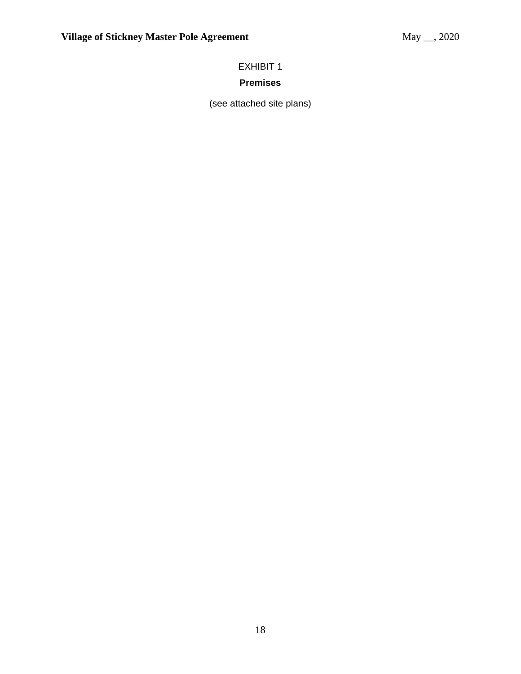# EXHIBIT 1

# **Premises**

(see attached site plans)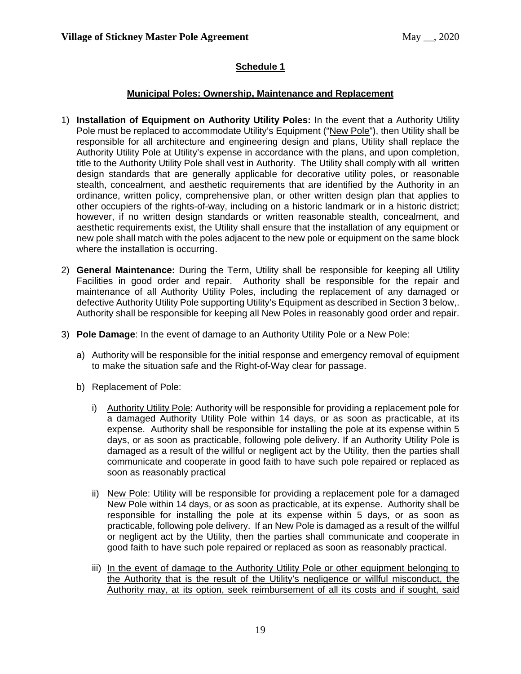## **Schedule 1**

## **Municipal Poles: Ownership, Maintenance and Replacement**

- 1) **Installation of Equipment on Authority Utility Poles:** In the event that a Authority Utility Pole must be replaced to accommodate Utility's Equipment ("New Pole"), then Utility shall be responsible for all architecture and engineering design and plans, Utility shall replace the Authority Utility Pole at Utility's expense in accordance with the plans, and upon completion, title to the Authority Utility Pole shall vest in Authority. The Utility shall comply with all written design standards that are generally applicable for decorative utility poles, or reasonable stealth, concealment, and aesthetic requirements that are identified by the Authority in an ordinance, written policy, comprehensive plan, or other written design plan that applies to other occupiers of the rights-of-way, including on a historic landmark or in a historic district; however, if no written design standards or written reasonable stealth, concealment, and aesthetic requirements exist, the Utility shall ensure that the installation of any equipment or new pole shall match with the poles adjacent to the new pole or equipment on the same block where the installation is occurring.
- 2) **General Maintenance:** During the Term, Utility shall be responsible for keeping all Utility Facilities in good order and repair. Authority shall be responsible for the repair and maintenance of all Authority Utility Poles, including the replacement of any damaged or defective Authority Utility Pole supporting Utility's Equipment as described in Section 3 below,. Authority shall be responsible for keeping all New Poles in reasonably good order and repair.
- 3) **Pole Damage**: In the event of damage to an Authority Utility Pole or a New Pole:
	- a) Authority will be responsible for the initial response and emergency removal of equipment to make the situation safe and the Right-of-Way clear for passage.
	- b) Replacement of Pole:
		- i) Authority Utility Pole: Authority will be responsible for providing a replacement pole for a damaged Authority Utility Pole within 14 days, or as soon as practicable, at its expense. Authority shall be responsible for installing the pole at its expense within 5 days, or as soon as practicable, following pole delivery. If an Authority Utility Pole is damaged as a result of the willful or negligent act by the Utility, then the parties shall communicate and cooperate in good faith to have such pole repaired or replaced as soon as reasonably practical
		- ii) New Pole: Utility will be responsible for providing a replacement pole for a damaged New Pole within 14 days, or as soon as practicable, at its expense. Authority shall be responsible for installing the pole at its expense within 5 days, or as soon as practicable, following pole delivery. If an New Pole is damaged as a result of the willful or negligent act by the Utility, then the parties shall communicate and cooperate in good faith to have such pole repaired or replaced as soon as reasonably practical.
		- iii) In the event of damage to the Authority Utility Pole or other equipment belonging to the Authority that is the result of the Utility's negligence or willful misconduct, the Authority may, at its option, seek reimbursement of all its costs and if sought, said